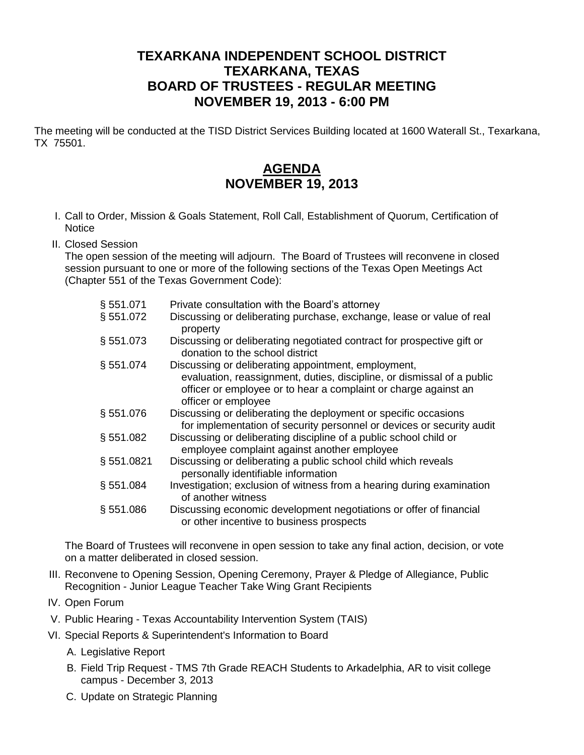## **TEXARKANA INDEPENDENT SCHOOL DISTRICT TEXARKANA, TEXAS BOARD OF TRUSTEES - REGULAR MEETING NOVEMBER 19, 2013 - 6:00 PM**

The meeting will be conducted at the TISD District Services Building located at 1600 Waterall St., Texarkana, TX 75501.

## **AGENDA NOVEMBER 19, 2013**

- I. Call to Order, Mission & Goals Statement, Roll Call, Establishment of Quorum, Certification of **Notice**
- II. Closed Session

The open session of the meeting will adjourn. The Board of Trustees will reconvene in closed session pursuant to one or more of the following sections of the Texas Open Meetings Act (Chapter 551 of the Texas Government Code):

| § 551.071 | Private consultation with the Board's attorney                                                                                                                   |
|-----------|------------------------------------------------------------------------------------------------------------------------------------------------------------------|
| § 551.072 | Discussing or deliberating purchase, exchange, lease or value of real<br>property                                                                                |
| §551.073  | Discussing or deliberating negotiated contract for prospective gift or<br>donation to the school district                                                        |
| § 551.074 | Discussing or deliberating appointment, employment,                                                                                                              |
|           | evaluation, reassignment, duties, discipline, or dismissal of a public<br>officer or employee or to hear a complaint or charge against an<br>officer or employee |
| §551.076  | Discussing or deliberating the deployment or specific occasions<br>for implementation of security personnel or devices or security audit                         |
| § 551.082 | Discussing or deliberating discipline of a public school child or<br>employee complaint against another employee                                                 |
| §551.0821 | Discussing or deliberating a public school child which reveals<br>personally identifiable information                                                            |
| § 551.084 | Investigation; exclusion of witness from a hearing during examination<br>of another witness                                                                      |
| § 551.086 | Discussing economic development negotiations or offer of financial<br>or other incentive to business prospects                                                   |

The Board of Trustees will reconvene in open session to take any final action, decision, or vote on a matter deliberated in closed session.

- III. Reconvene to Opening Session, Opening Ceremony, Prayer & Pledge of Allegiance, Public Recognition - Junior League Teacher Take Wing Grant Recipients
- IV. Open Forum
- V. Public Hearing Texas Accountability Intervention System (TAIS)
- VI. Special Reports & Superintendent's Information to Board
	- A. Legislative Report
	- B. Field Trip Request TMS 7th Grade REACH Students to Arkadelphia, AR to visit college campus - December 3, 2013
	- C. Update on Strategic Planning